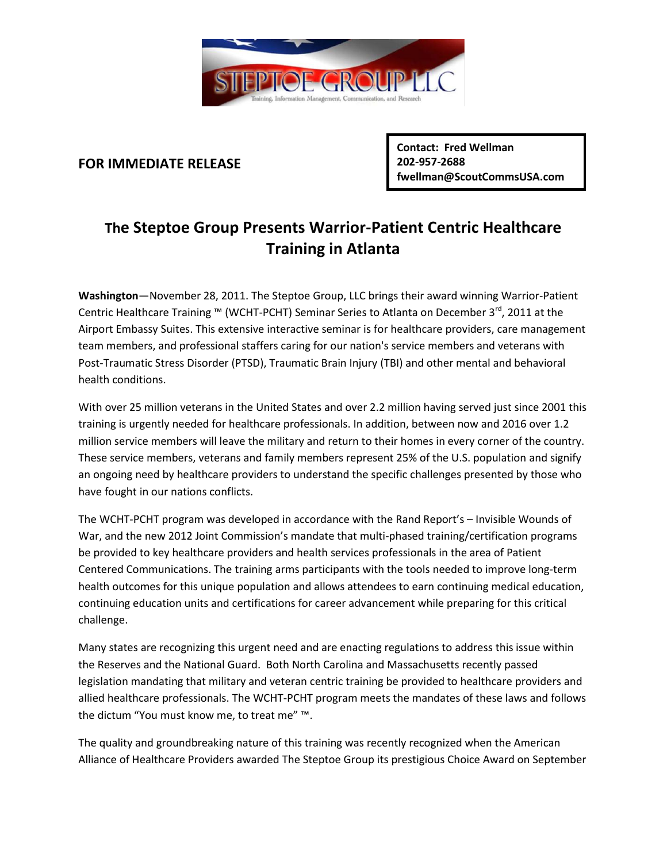

## **FOR IMMEDIATE RELEASE**

**Contact: Fred Wellman 202-957-2688 fwellman@ScoutCommsUSA.com**

## **The Steptoe Group Presents Warrior-Patient Centric Healthcare Training in Atlanta**

**Washington**—November 28, 2011. The Steptoe Group, LLC brings their award winning Warrior-Patient Centric Healthcare Training ™ (WCHT-PCHT) Seminar Series to Atlanta on December 3<sup>rd</sup>, 2011 at the Airport Embassy Suites. This extensive interactive seminar is for healthcare providers, care management team members, and professional staffers caring for our nation's service members and veterans with Post-Traumatic Stress Disorder (PTSD), Traumatic Brain Injury (TBI) and other mental and behavioral health conditions.

With over 25 million veterans in the United States and over 2.2 million having served just since 2001 this training is urgently needed for healthcare professionals. In addition, between now and 2016 over 1.2 million service members will leave the military and return to their homes in every corner of the country. These service members, veterans and family members represent 25% of the U.S. population and signify an ongoing need by healthcare providers to understand the specific challenges presented by those who have fought in our nations conflicts.

The WCHT-PCHT program was developed in accordance with the Rand Report's – Invisible Wounds of War, and the new 2012 Joint Commission's mandate that multi-phased training/certification programs be provided to key healthcare providers and health services professionals in the area of Patient Centered Communications. The training arms participants with the tools needed to improve long-term health outcomes for this unique population and allows attendees to earn continuing medical education, continuing education units and certifications for career advancement while preparing for this critical challenge.

Many states are recognizing this urgent need and are enacting regulations to address this issue within the Reserves and the National Guard. Both North Carolina and Massachusetts recently passed legislation mandating that military and veteran centric training be provided to healthcare providers and allied healthcare professionals. The WCHT-PCHT program meets the mandates of these laws and follows the dictum "You must know me, to treat me" ™.

The quality and groundbreaking nature of this training was recently recognized when the American Alliance of Healthcare Providers awarded The Steptoe Group its prestigious Choice Award on September